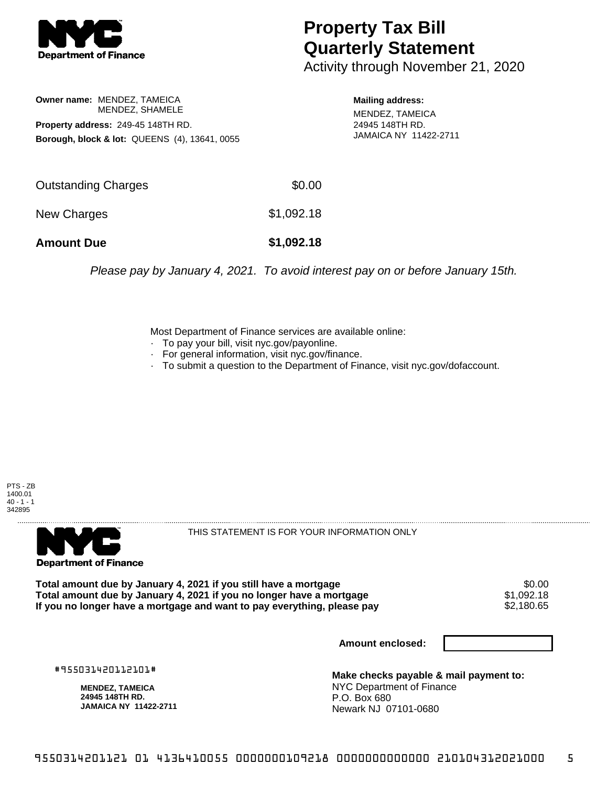

## **Property Tax Bill Quarterly Statement**

Activity through November 21, 2020

**Owner name:** MENDEZ, TAMEICA MENDEZ, SHAMELE **Property address:** 249-45 148TH RD. **Borough, block & lot:** QUEENS (4), 13641, 0055 **Mailing address:**

MENDEZ, TAMEICA 24945 148TH RD. JAMAICA NY 11422-2711

| <b>Amount Due</b>   | \$1,092.18 |
|---------------------|------------|
| New Charges         | \$1,092.18 |
| Outstanding Charges | \$0.00     |

Please pay by January 4, 2021. To avoid interest pay on or before January 15th.

Most Department of Finance services are available online:

- · To pay your bill, visit nyc.gov/payonline.
- For general information, visit nyc.gov/finance.
- · To submit a question to the Department of Finance, visit nyc.gov/dofaccount.





THIS STATEMENT IS FOR YOUR INFORMATION ONLY

Total amount due by January 4, 2021 if you still have a mortgage \$0.00<br>Total amount due by January 4, 2021 if you no longer have a mortgage \$1.092.18 **Total amount due by January 4, 2021 if you no longer have a mortgage**  $$1,092.18$$ **<br>If you no longer have a mortgage and want to pay everything, please pay**  $$2,180.65$$ If you no longer have a mortgage and want to pay everything, please pay

**Amount enclosed:**

#955031420112101#

**MENDEZ, TAMEICA 24945 148TH RD. JAMAICA NY 11422-2711**

**Make checks payable & mail payment to:** NYC Department of Finance P.O. Box 680 Newark NJ 07101-0680